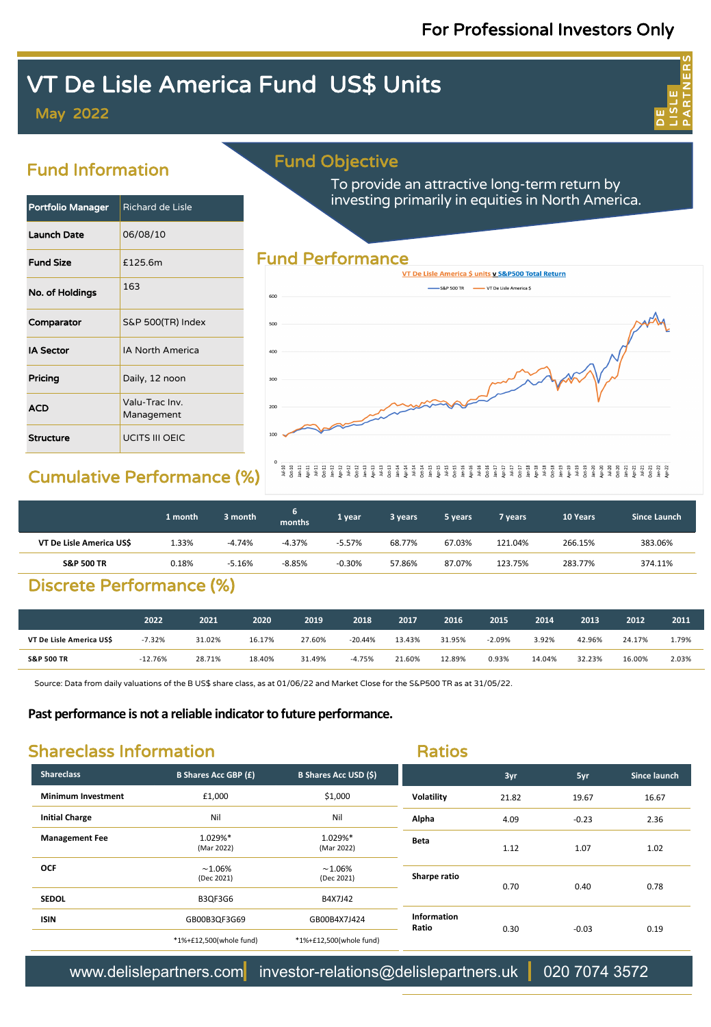## For Professional Investors Only

ய<br>O LISLE PARTNERS

# VT De Lisle America Fund US\$ Units

May 2022

## Fund Information

## Portfolio Manager | Richard de Lisle Launch Date 06/08/10 Fund Size E125.6m No. of Holdings  $\sqrt{163}$ Comparator S&P 500(TR) Index **IA Sector IA North America Pricing Daily, 12 noon ACD** Valu-Trac Inv. Management Structure **UCITS III OEIC**

## Fund Objective

To provide an attractive long-term return by investing primarily in equities in North America.



## Cumulative Performance (%)

### 

|                         | 1 month | 3 month  | 6.<br>months | '1 year  | 3 years | 5 years | 7 vears | 10 Years | Since Launch |
|-------------------------|---------|----------|--------------|----------|---------|---------|---------|----------|--------------|
| VT De Lisle America USS | 1.33%   | -4.74%   | $-4.37%$     | $-5.57%$ | 68.77%  | 67.03%  | 121.04% | 266.15%  | 383.06%      |
| <b>S&amp;P 500 TR</b>   | 0.18%   | $-5.16%$ | $-8.85%$     | $-0.30%$ | 57.86%  | 87.07%  | 123.75% | 283.77%  | 374.11%      |

## Discrete Performance (%)

|                          | 2022      | 2021   | 2020   | 2019   | 2018      | 2017   | 2016   | 2015     | 2014   | 2013   | 2012   | 2011  |
|--------------------------|-----------|--------|--------|--------|-----------|--------|--------|----------|--------|--------|--------|-------|
| VT De Lisle America US\$ | $-7.32%$  | 31.02% | 16.17% | 27.60% | $-20.44%$ | 13.43% | 31.95% | $-2.09%$ | 3.92%  | 42.96% | 24.17% | 1.79% |
| <b>S&amp;P 500 TR</b>    | $-12.76%$ | 28.71% | 18.40% | 31.49% | $-4.75%$  | 21.60% | 12.89% | 0.93%    | 14.04% | 32.23% | 16.00% | 2.03% |

Source: Data from daily valuations of the B US\$ share class, as at 01/06/22 and Market Close for the S&P500 TR as at 31/05/22.

### **Past performance is not a reliable indicator to future performance.**

## Shareclass Information

Ratios

| <b>Shareclass</b>         | <b>B Shares Acc GBP (£)</b> | <b>B Shares Acc USD (\$)</b> |                      | 3yr   | 5yr     | <b>Since launch</b> |  |
|---------------------------|-----------------------------|------------------------------|----------------------|-------|---------|---------------------|--|
| <b>Minimum Investment</b> | £1,000                      | \$1,000                      | Volatility           | 21.82 | 19.67   | 16.67               |  |
| <b>Initial Charge</b>     | Nil                         | Nil                          | Alpha                | 4.09  | $-0.23$ | 2.36                |  |
| <b>Management Fee</b>     | 1.029%*<br>(Mar 2022)       | 1.029%*<br>(Mar 2022)        | <b>Beta</b>          | 1.12  | 1.07    | 1.02                |  |
| <b>OCF</b>                | $~1.06\%$<br>(Dec 2021)     | $~1.06\%$<br>(Dec 2021)      | Sharpe ratio         | 0.70  | 0.40    | 0.78                |  |
| <b>SEDOL</b>              | B3QF3G6                     | B4X7J42                      |                      |       |         |                     |  |
| <b>ISIN</b>               | GB00B3QF3G69                | GB00B4X7J424                 | Information<br>Ratio | 0.30  | $-0.03$ | 0.19                |  |
|                           | *1%+£12,500(whole fund)     | *1%+£12,500(whole fund)      |                      |       |         |                     |  |

www.delislepartners.com investor-relations@delislepartners.uk 020 7074 3572